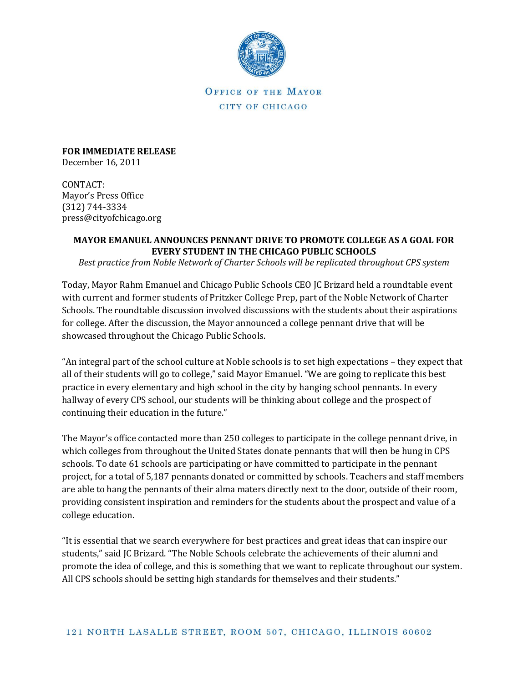

OFFICE OF THE MAYOR CITY OF CHICAGO

**FOR IMMEDIATE RELEASE** December 16, 2011

CONTACT: Mayor's Press Office (312) 744-3334 press@cityofchicago.org

## **MAYOR EMANUEL ANNOUNCES PENNANT DRIVE TO PROMOTE COLLEGE AS A GOAL FOR EVERY STUDENT IN THE CHICAGO PUBLIC SCHOOLS**

*Best practice from Noble Network of Charter Schools will be replicated throughout CPS system*

Today, Mayor Rahm Emanuel and Chicago Public Schools CEO JC Brizard held a roundtable event with current and former students of Pritzker College Prep, part of the Noble Network of Charter Schools. The roundtable discussion involved discussions with the students about their aspirations for college. After the discussion, the Mayor announced a college pennant drive that will be showcased throughout the Chicago Public Schools.

"An integral part of the school culture at Noble schools is to set high expectations – they expect that all of their students will go to college," said Mayor Emanuel. "We are going to replicate this best practice in every elementary and high school in the city by hanging school pennants. In every hallway of every CPS school, our students will be thinking about college and the prospect of continuing their education in the future."

The Mayor's office contacted more than 250 colleges to participate in the college pennant drive, in which colleges from throughout the United States donate pennants that will then be hung in CPS schools. To date 61 schools are participating or have committed to participate in the pennant project, for a total of 5,187 pennants donated or committed by schools. Teachers and staff members are able to hang the pennants of their alma maters directly next to the door, outside of their room, providing consistent inspiration and reminders for the students about the prospect and value of a college education.

"It is essential that we search everywhere for best practices and great ideas that can inspire our students," said JC Brizard. "The Noble Schools celebrate the achievements of their alumni and promote the idea of college, and this is something that we want to replicate throughout our system. All CPS schools should be setting high standards for themselves and their students."